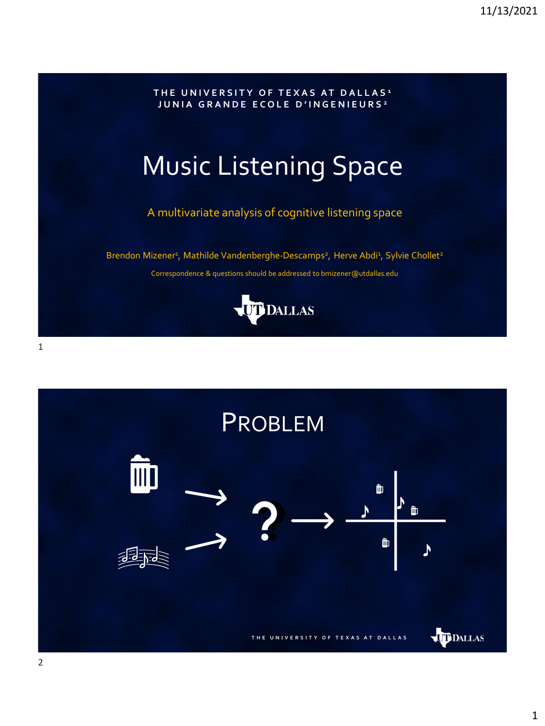

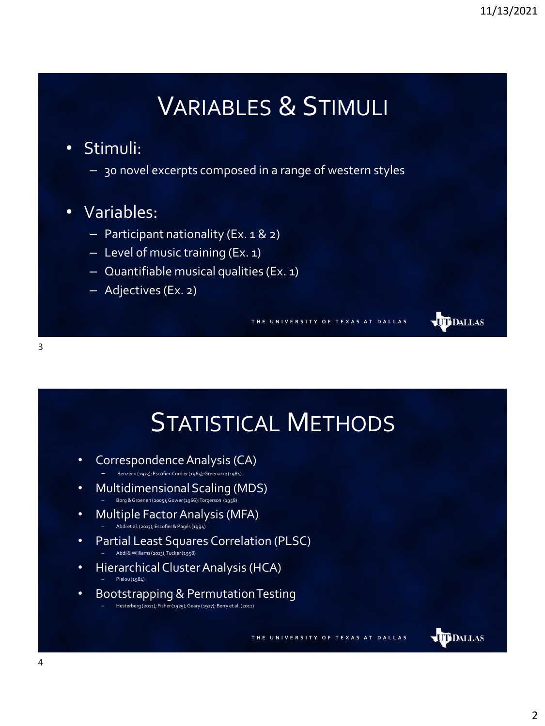**UD** DALLAS

## VARIABLES & STIMULI

## • Stimuli:

- 30 novel excerpts composed in a range of western styles
- Variables:
	- Participant nationality (Ex. 1 & 2)
	- Level of music training (Ex. 1)
	- Quantifiable musical qualities (Ex. 1)
	- Adjectives (Ex. 2)

**T H E U N I V E R S I T Y O F T E X A S A T D A L L A S**



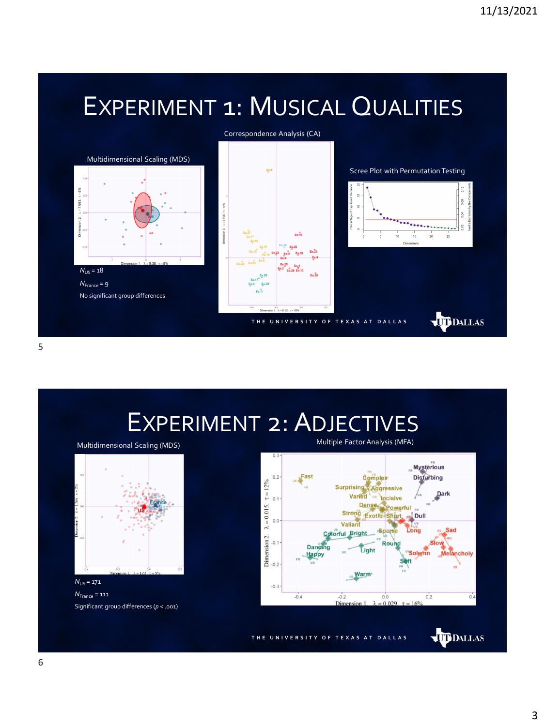## EXPERIMENT 1: MUSICAL QUALITIES



5